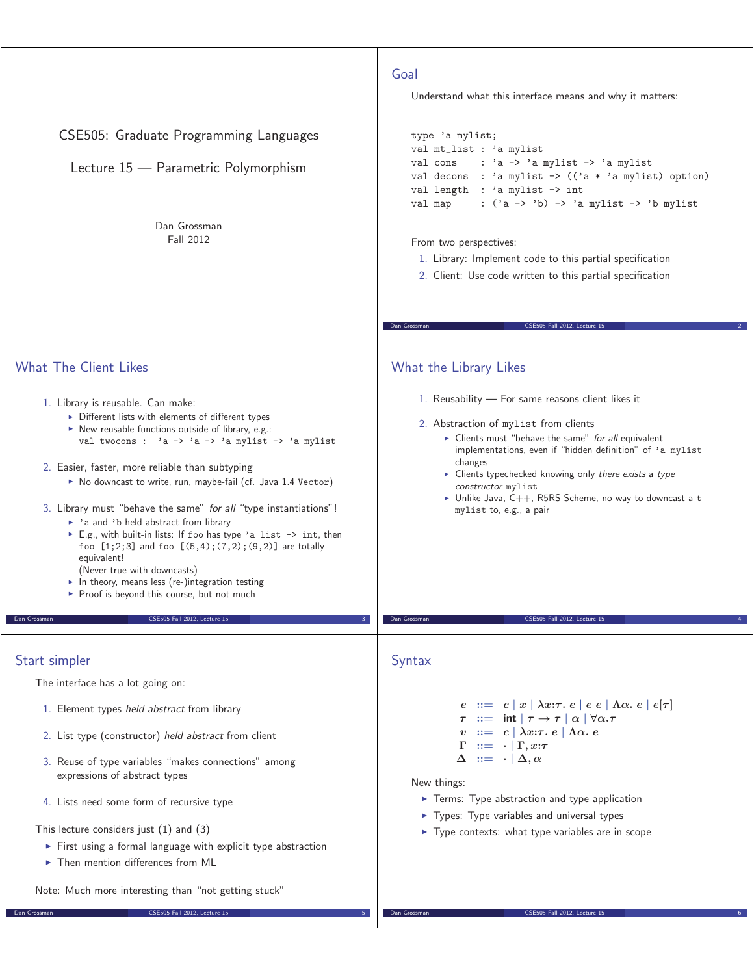| CSE505: Graduate Programming Languages<br>Lecture 15 - Parametric Polymorphism<br>Dan Grossman<br>Fall 2012                                                                                                                                                                                                                                                                                                                                                                                                                                                                                                                                                                                                                                                                                                                                 | Goal<br>Understand what this interface means and why it matters:<br>type 'a mylist;<br>val mt_list : 'a mylist<br>val cons<br>: $'a \rightarrow 'a$ mylist $\rightarrow 'a$ mylist<br>val decons : 'a mylist -> $((a * 'a$ mylist) option)<br>val length : 'a mylist -> int<br>val map<br>: $('a \rightarrow 'b) \rightarrow 'a$ mylist $\rightarrow 'b$ mylist<br>From two perspectives:<br>1. Library: Implement code to this partial specification<br>2. Client: Use code written to this partial specification |
|---------------------------------------------------------------------------------------------------------------------------------------------------------------------------------------------------------------------------------------------------------------------------------------------------------------------------------------------------------------------------------------------------------------------------------------------------------------------------------------------------------------------------------------------------------------------------------------------------------------------------------------------------------------------------------------------------------------------------------------------------------------------------------------------------------------------------------------------|--------------------------------------------------------------------------------------------------------------------------------------------------------------------------------------------------------------------------------------------------------------------------------------------------------------------------------------------------------------------------------------------------------------------------------------------------------------------------------------------------------------------|
|                                                                                                                                                                                                                                                                                                                                                                                                                                                                                                                                                                                                                                                                                                                                                                                                                                             | Dan Grossman<br>CSE505 Fall 2012, Lecture 15                                                                                                                                                                                                                                                                                                                                                                                                                                                                       |
| <b>What The Client Likes</b><br>1. Library is reusable. Can make:<br>Different lists with elements of different types<br>$\triangleright$ New reusable functions outside of library, e.g.:<br>val twocons : $a \rightarrow 'a \rightarrow 'a$ mylist $\rightarrow 'a$ mylist<br>2. Easier, faster, more reliable than subtyping<br>No downcast to write, run, maybe-fail (cf. Java 1.4 Vector)<br>3. Library must "behave the same" for all "type instantiations"!<br>• 'a and 'b held abstract from library<br>E.g., with built-in lists: If foo has type 'a list -> int, then<br>foo $[1;2;3]$ and foo $[(5,4); (7,2); (9,2)]$ are totally<br>equivalent!<br>(Never true with downcasts)<br>In theory, means less (re-)integration testing<br>▶ Proof is beyond this course, but not much<br>Dan Grossman<br>CSE505 Fall 2012, Lecture 15 | What the Library Likes<br>1. Reusability - For same reasons client likes it<br>2. Abstraction of mylist from clients<br>• Clients must "behave the same" for all equivalent<br>implementations, even if "hidden definition" of 'a mylist<br>changes<br>$\triangleright$ Clients typechecked knowing only there exists a type<br>constructor mylist<br>$\triangleright$ Unlike Java, C++, R5RS Scheme, no way to downcast a t<br>mylist to, e.g., a pair<br>Dan Grossman<br>CSE505 Fall 2012, Lecture 15            |
|                                                                                                                                                                                                                                                                                                                                                                                                                                                                                                                                                                                                                                                                                                                                                                                                                                             |                                                                                                                                                                                                                                                                                                                                                                                                                                                                                                                    |
| Start simpler                                                                                                                                                                                                                                                                                                                                                                                                                                                                                                                                                                                                                                                                                                                                                                                                                               | Syntax                                                                                                                                                                                                                                                                                                                                                                                                                                                                                                             |
| The interface has a lot going on:<br>1. Element types held abstract from library<br>2. List type (constructor) held abstract from client<br>3. Reuse of type variables "makes connections" among<br>expressions of abstract types<br>4. Lists need some form of recursive type<br>This lecture considers just $(1)$ and $(3)$<br>First using a formal language with explicit type abstraction<br>$\triangleright$ Then mention differences from ML<br>Note: Much more interesting than "not getting stuck"                                                                                                                                                                                                                                                                                                                                  | $e := c  x  \lambda x : \tau e  e e   \Lambda \alpha e  e   \tau$<br>$\therefore = \int \int \pi \cdot \pi \cdot d\pi$<br>$\therefore = c \mid \lambda x : \tau \cdot e \mid \Lambda \alpha \cdot e$<br>$\cdots = \cdots \Gamma, x:\tau$<br>$\Delta \quad ::= \quad \cdot \mid \Delta, \alpha$<br>New things:<br>Terms: Type abstraction and type application<br>• Types: Type variables and universal types<br>Type contexts: what type variables are in scope                                                    |
| <b>CSE505 Fall 2012, Lecture 15</b><br>Dan Grossman                                                                                                                                                                                                                                                                                                                                                                                                                                                                                                                                                                                                                                                                                                                                                                                         | CSE505 Fall 2012, Lecture 15<br>Dan Grossman                                                                                                                                                                                                                                                                                                                                                                                                                                                                       |
|                                                                                                                                                                                                                                                                                                                                                                                                                                                                                                                                                                                                                                                                                                                                                                                                                                             |                                                                                                                                                                                                                                                                                                                                                                                                                                                                                                                    |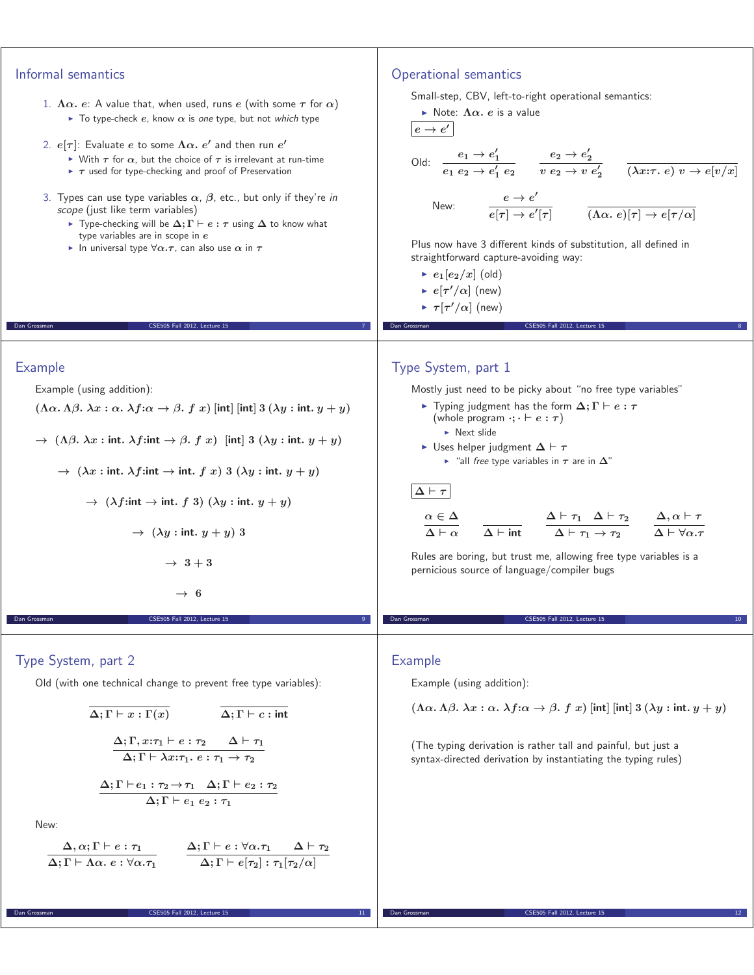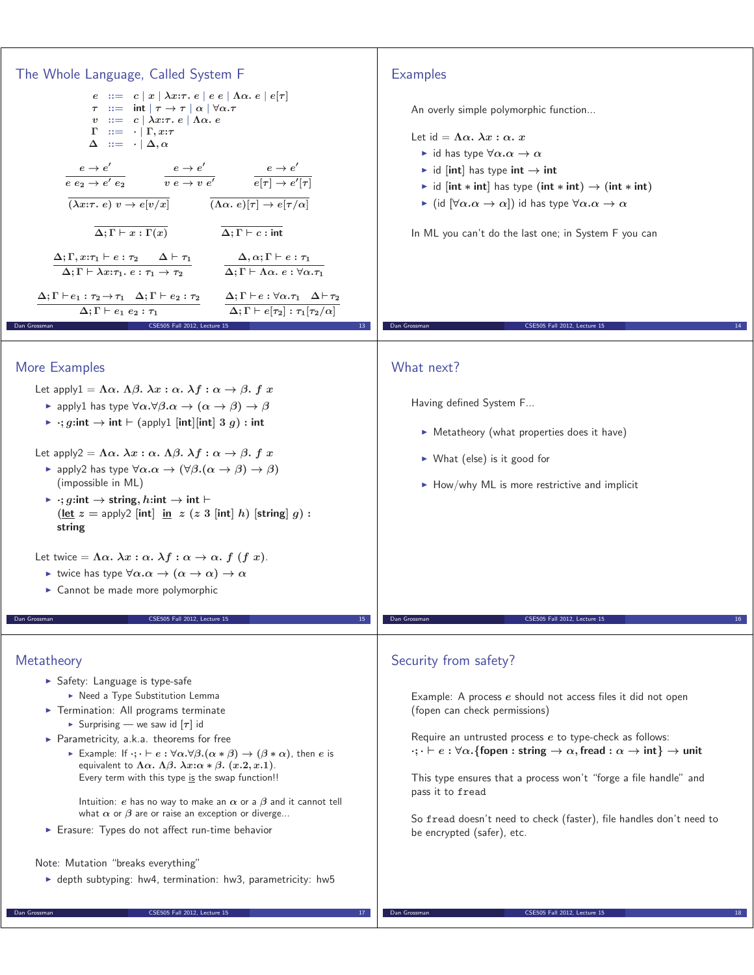| The Whole Language, Called System F<br>$e := c  x  \lambda x : \tau e  e e   \Lambda \alpha e  e   \tau$<br>$\tau$ ::= int $ \tau \to \tau $ $\alpha$ $ \forall \alpha.\tau$<br>v ::= c $\lambda x:\tau.\ e \mid \Lambda \alpha.\ e$<br>$\Gamma$ ::= $\cdot$ $\Gamma$ , $x:\tau$<br>$\Delta \quad ::= \quad \cdot \mid \Delta, \alpha$<br>$\frac{e\rightarrow e'}{e\;e_2\rightarrow e'\;e_2} \qquad \quad \frac{e\rightarrow e'}{v\;e\rightarrow v\;e'} \qquad \quad \frac{e\rightarrow e'}{e[\tau]\rightarrow e'[\tau]}$<br>$\overline{(\lambda x:\tau, e) v \rightarrow e[v/x]}$ $\overline{(\Lambda \alpha, e) [\tau] \rightarrow e[\tau/\alpha]}$<br>$\overline{\Delta;\Gamma\vdash x:\Gamma(x)}$ $\overline{\Delta;\Gamma\vdash c:\text{int}}$<br>$\Delta ; \Gamma , x{:}\tau_1 \vdash e \;{\underline{\cdot}\;} \tau_2 \quad \  \  \Delta \vdash \tau_1$<br>$\Delta, \alpha; \Gamma \vdash e : \tau_1$<br>$\Delta;\Gamma \vdash \lambda x{:}\tau_1.\ e:\tau_1\to \tau_2$ $\Delta;\Gamma\vdash \overline{\Lambda\alpha.\ e:\forall \alpha.\tau_1}$<br>$\Delta;\Gamma\vdash e_1:\tau_2\rightarrow \tau_1\quad \Delta;\Gamma\vdash e_2:\tau_2\qquad \Delta;\Gamma\vdash e:\forall \alpha.\tau_1\quad \Delta\vdash \tau_2$<br>$\Delta;\Gamma\vdash e[\tau_2]:\tau_1[\tau_2/\alpha]$<br>$\Delta; \Gamma \vdash e_1 \ e_2 : \tau_1$ | <b>Examples</b><br>An overly simple polymorphic function<br>Let $id = \Lambda \alpha$ , $\lambda x : \alpha$ , x<br>id has type $\forall \alpha \ldotp \alpha \rightarrow \alpha$<br>id [int] has type int $\rightarrow$ int<br>id [int * int] has type (int * int) $\rightarrow$ (int * int)<br>► (id $[\forall \alpha \ldotp \alpha \rightarrow \alpha]$ ) id has type $\forall \alpha \ldotp \alpha \rightarrow \alpha$<br>In ML you can't do the last one; in System F you can                                               |
|-------------------------------------------------------------------------------------------------------------------------------------------------------------------------------------------------------------------------------------------------------------------------------------------------------------------------------------------------------------------------------------------------------------------------------------------------------------------------------------------------------------------------------------------------------------------------------------------------------------------------------------------------------------------------------------------------------------------------------------------------------------------------------------------------------------------------------------------------------------------------------------------------------------------------------------------------------------------------------------------------------------------------------------------------------------------------------------------------------------------------------------------------------------------------------------------------------------------------------------------------------------------------------------------------------------------------------------|----------------------------------------------------------------------------------------------------------------------------------------------------------------------------------------------------------------------------------------------------------------------------------------------------------------------------------------------------------------------------------------------------------------------------------------------------------------------------------------------------------------------------------|
| CSE505 Fall 2012, Lecture 15<br>Dan Grossman<br>13                                                                                                                                                                                                                                                                                                                                                                                                                                                                                                                                                                                                                                                                                                                                                                                                                                                                                                                                                                                                                                                                                                                                                                                                                                                                                  | Dan Grossman<br>CSE505 Fall 2012, Lecture 15                                                                                                                                                                                                                                                                                                                                                                                                                                                                                     |
| More Examples<br>Let apply $1 = \Lambda \alpha$ . $\Lambda \beta$ . $\lambda x : \alpha$ . $\lambda f : \alpha \rightarrow \beta$ . f x<br>• apply1 has type $\forall \alpha.\forall \beta.\alpha \rightarrow (\alpha \rightarrow \beta) \rightarrow \beta$<br>$\triangleright$ : g:int $\rightarrow$ int $\vdash$ (apply1 [int] [int] 3 g) : int<br>Let apply2 = $\Lambda \alpha$ . $\lambda x : \alpha$ . $\Lambda \beta$ . $\lambda f : \alpha \rightarrow \beta$ . f x<br>► apply2 has type $\forall \alpha.\alpha \rightarrow (\forall \beta.(\alpha \rightarrow \beta) \rightarrow \beta)$<br>(impossible in ML)<br>$\rightarrow$ :; g:int $\rightarrow$ string, h:int $\rightarrow$ int $\vdash$<br>$(\text{let } z = \text{apply2} \mid \text{int} \mid \text{in} \ z \ (z \ 3 \mid \text{int} \mid h) \ \text{[string]} \ g)$ :<br>string<br>Let twice = $\Lambda \alpha$ . $\lambda x : \alpha$ . $\lambda f : \alpha \to \alpha$ . $f(f x)$ .<br>ightharpoonup twice has type $\forall \alpha . \alpha \rightarrow (\alpha \rightarrow \alpha) \rightarrow \alpha$<br>$\triangleright$ Cannot be made more polymorphic                                                                                                                                                                                                   | What next?<br>Having defined System F<br>• Metatheory (what properties does it have)<br>$\triangleright$ What (else) is it good for<br>$\blacktriangleright$ How/why ML is more restrictive and implicit                                                                                                                                                                                                                                                                                                                         |
| CSE505 Fall 2012, Lecture 15<br>Dan Grossman                                                                                                                                                                                                                                                                                                                                                                                                                                                                                                                                                                                                                                                                                                                                                                                                                                                                                                                                                                                                                                                                                                                                                                                                                                                                                        | CSE505 Fall 2012. Lecture 15<br>Dan Grossman                                                                                                                                                                                                                                                                                                                                                                                                                                                                                     |
| Metatheory<br>Safety: Language is type-safe<br>▶ Need a Type Substitution Lemma<br>Termination: All programs terminate<br>Surprising — we saw id $[\tau]$ id<br>Parametricity, $a.k.a.$ theorems for free<br>Example: If $\cdot; \cdot \vdash e : \forall \alpha. \forall \beta. (\alpha * \beta) \rightarrow (\beta * \alpha)$ , then e is<br>equivalent to $\Lambda \alpha$ . $\Lambda \beta$ . $\lambda x$ : $\alpha * \beta$ . $(x.2, x.1)$ .<br>Every term with this type is the swap function!!<br>Intuition: e has no way to make an $\alpha$ or a $\beta$ and it cannot tell<br>what $\alpha$ or $\beta$ are or raise an exception or diverge<br>Erasure: Types do not affect run-time behavior<br>Note: Mutation "breaks everything"<br>$\triangleright$ depth subtyping: hw4, termination: hw3, parametricity: hw5                                                                                                                                                                                                                                                                                                                                                                                                                                                                                                        | Security from safety?<br>Example: A process e should not access files it did not open<br>(fopen can check permissions)<br>Require an untrusted process e to type-check as follows:<br>$\cdot; \cdot \vdash e : \forall \alpha.$ {fopen : string $\rightarrow \alpha$ , fread : $\alpha \rightarrow \text{int}$ } $\rightarrow$ unit<br>This type ensures that a process won't "forge a file handle" and<br>pass it to fread<br>So fread doesn't need to check (faster), file handles don't need to<br>be encrypted (safer), etc. |
| CSE505 Fall 2012, Lecture 15<br>Dan Grossman<br>17                                                                                                                                                                                                                                                                                                                                                                                                                                                                                                                                                                                                                                                                                                                                                                                                                                                                                                                                                                                                                                                                                                                                                                                                                                                                                  | Dan Grossman<br>CSE505 Fall 2012, Lecture 15                                                                                                                                                                                                                                                                                                                                                                                                                                                                                     |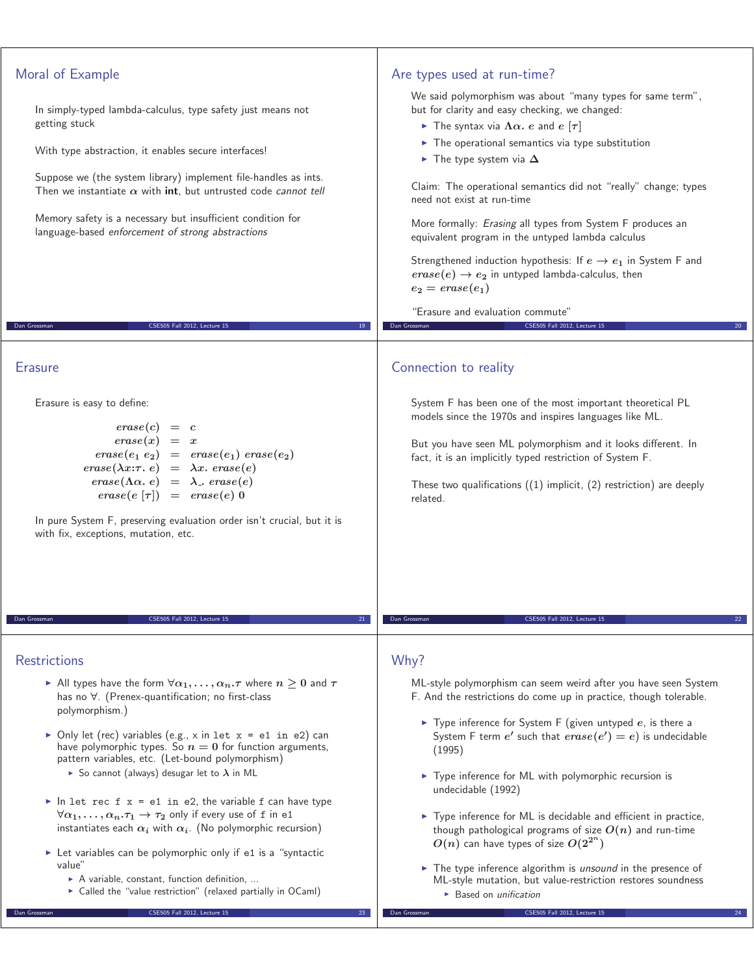| Moral of Example<br>Are types used at run-time?<br>We said polymorphism was about "many types for same term",<br>but for clarity and easy checking, we changed:<br>In simply-typed lambda-calculus, type safety just means not<br>getting stuck<br>The syntax via $\Lambda \alpha$ . e and e $[\tau]$<br>$\triangleright$ The operational semantics via type substitution<br>With type abstraction, it enables secure interfaces!<br>$\blacktriangleright$ The type system via $\Delta$<br>Suppose we (the system library) implement file-handles as ints.<br>Claim: The operational semantics did not "really" change; types<br>Then we instantiate $\alpha$ with int, but untrusted code cannot tell<br>need not exist at run-time<br>Memory safety is a necessary but insufficient condition for<br>More formally: Erasing all types from System F produces an<br>language-based enforcement of strong abstractions<br>equivalent program in the untyped lambda calculus<br>Strengthened induction hypothesis: If $e \rightarrow e_1$ in System F and<br>$\text{erase}(e) \rightarrow e_2$ in untyped lambda-calculus, then<br>$e_2 = \text{erase}(e_1)$<br>"Erasure and evaluation commute"<br>Dan Grossman<br>CSE505 Fall 2012, Lecture 15<br>Dan Grossman<br>CSE505 Fall 2012, Lecture 15<br>19<br><b>Erasure</b><br>Connection to reality<br>Erasure is easy to define:<br>System F has been one of the most important theoretical PL<br>models since the 1970s and inspires languages like ML.<br>$\text{} \text{} (c) = c$<br>But you have seen ML polymorphism and it looks different. In<br>$\text{erase}(e_1 \ e_2) = \text{erase}(e_1) \ \text{erase}(e_2)$<br>fact, it is an implicitly typed restriction of System F.<br>$\text{} \text{} \text{}(\lambda x{:}\tau \cdot e) = \lambda x \text{}. \text{} \text{} \text{} \text{}(\text{)}$<br>$\text{erase}(\Lambda \alpha, e) = \lambda$ . $\text{erase}(e)$<br>These two qualifications $((1)$ implicit, $(2)$ restriction) are deeply<br>$\text{} \text{} (e \;   \tau ) = \text{} \text{} (e \;   \; 0)$<br>related.<br>In pure System F, preserving evaluation order isn't crucial, but it is<br>with fix, exceptions, mutation, etc.<br>Dan Grossman<br>CSE505 Fall 2012, Lecture 15<br>Dan Grossman<br>CSE505 Fall 2012, Lecture 1!<br>Why?<br><b>Restrictions</b><br>All types have the form $\forall \alpha_1,\ldots,\alpha_n.\tau$ where $n\geq 0$ and $\tau$<br>ML-style polymorphism can seem weird after you have seen System<br>has no $\forall$ . (Prenex-quantification; no first-class<br>F. And the restrictions do come up in practice, though tolerable.<br>polymorphism.)<br>$\triangleright$ Type inference for System F (given untyped e, is there a<br>• Only let (rec) variables (e.g., x in let $x = e1$ in e2) can<br>System F term e' such that $\text{erase}(e') = e$ ) is undecidable<br>have polymorphic types. So $n = 0$ for function arguments,<br>(1995)<br>pattern variables, etc. (Let-bound polymorphism)<br>So cannot (always) desugar let to $\lambda$ in ML<br>► Type inference for ML with polymorphic recursion is<br>undecidable (1992)<br>In let rec f $x = e1$ in e2, the variable f can have type<br>$\forall \alpha_1, \ldots, \alpha_n \cdot \tau_1 \rightarrow \tau_2$ only if every use of f in e1<br>▶ Type inference for ML is decidable and efficient in practice,<br>instantiates each $\alpha_i$ with $\alpha_i$ . (No polymorphic recursion)<br>though pathological programs of size $O(n)$ and run-time<br>$O(n)$ can have types of size $O(2^{2^n})$<br>► Let variables can be polymorphic only if e1 is a "syntactic<br>value"<br>$\triangleright$ The type inference algorithm is <i>unsound</i> in the presence of<br>A variable, constant, function definition,<br>ML-style mutation, but value-restriction restores soundness<br>• Called the "value restriction" (relaxed partially in OCaml)<br>$\triangleright$ Based on <i>unification</i><br>CSE505 Fall 2012, Lecture 15<br>CSE505 Fall 2012, Lecture 15<br>Dan Grossman<br>Dan Grossman<br>23 |  |
|-------------------------------------------------------------------------------------------------------------------------------------------------------------------------------------------------------------------------------------------------------------------------------------------------------------------------------------------------------------------------------------------------------------------------------------------------------------------------------------------------------------------------------------------------------------------------------------------------------------------------------------------------------------------------------------------------------------------------------------------------------------------------------------------------------------------------------------------------------------------------------------------------------------------------------------------------------------------------------------------------------------------------------------------------------------------------------------------------------------------------------------------------------------------------------------------------------------------------------------------------------------------------------------------------------------------------------------------------------------------------------------------------------------------------------------------------------------------------------------------------------------------------------------------------------------------------------------------------------------------------------------------------------------------------------------------------------------------------------------------------------------------------------------------------------------------------------------------------------------------------------------------------------------------------------------------------------------------------------------------------------------------------------------------------------------------------------------------------------------------------------------------------------------------------------------------------------------------------------------------------------------------------------------------------------------------------------------------------------------------------------------------------------------------------------------------------------------------------------------------------------------------------------------------------------------------------------------------------------------------------------------------------------------------------------------------------------------------------------------------------------------------------------------------------------------------------------------------------------------------------------------------------------------------------------------------------------------------------------------------------------------------------------------------------------------------------------------------------------------------------------------------------------------------------------------------------------------------------------------------------------------------------------------------------------------------------------------------------------------------------------------------------------------------------------------------------------------------------------------------------------------------------------------------------------------------------------------------------------------------------------------------------------------------------------------------------------------------------------------------------------------------------------------------------------------------------------------------------------------------------------------------------------------------------------------------------------------------------------------------------------------------------------------------------------------------------------------|--|
|                                                                                                                                                                                                                                                                                                                                                                                                                                                                                                                                                                                                                                                                                                                                                                                                                                                                                                                                                                                                                                                                                                                                                                                                                                                                                                                                                                                                                                                                                                                                                                                                                                                                                                                                                                                                                                                                                                                                                                                                                                                                                                                                                                                                                                                                                                                                                                                                                                                                                                                                                                                                                                                                                                                                                                                                                                                                                                                                                                                                                                                                                                                                                                                                                                                                                                                                                                                                                                                                                                                                                                                                                                                                                                                                                                                                                                                                                                                                                                                                                                                                                     |  |
|                                                                                                                                                                                                                                                                                                                                                                                                                                                                                                                                                                                                                                                                                                                                                                                                                                                                                                                                                                                                                                                                                                                                                                                                                                                                                                                                                                                                                                                                                                                                                                                                                                                                                                                                                                                                                                                                                                                                                                                                                                                                                                                                                                                                                                                                                                                                                                                                                                                                                                                                                                                                                                                                                                                                                                                                                                                                                                                                                                                                                                                                                                                                                                                                                                                                                                                                                                                                                                                                                                                                                                                                                                                                                                                                                                                                                                                                                                                                                                                                                                                                                     |  |
|                                                                                                                                                                                                                                                                                                                                                                                                                                                                                                                                                                                                                                                                                                                                                                                                                                                                                                                                                                                                                                                                                                                                                                                                                                                                                                                                                                                                                                                                                                                                                                                                                                                                                                                                                                                                                                                                                                                                                                                                                                                                                                                                                                                                                                                                                                                                                                                                                                                                                                                                                                                                                                                                                                                                                                                                                                                                                                                                                                                                                                                                                                                                                                                                                                                                                                                                                                                                                                                                                                                                                                                                                                                                                                                                                                                                                                                                                                                                                                                                                                                                                     |  |
|                                                                                                                                                                                                                                                                                                                                                                                                                                                                                                                                                                                                                                                                                                                                                                                                                                                                                                                                                                                                                                                                                                                                                                                                                                                                                                                                                                                                                                                                                                                                                                                                                                                                                                                                                                                                                                                                                                                                                                                                                                                                                                                                                                                                                                                                                                                                                                                                                                                                                                                                                                                                                                                                                                                                                                                                                                                                                                                                                                                                                                                                                                                                                                                                                                                                                                                                                                                                                                                                                                                                                                                                                                                                                                                                                                                                                                                                                                                                                                                                                                                                                     |  |
|                                                                                                                                                                                                                                                                                                                                                                                                                                                                                                                                                                                                                                                                                                                                                                                                                                                                                                                                                                                                                                                                                                                                                                                                                                                                                                                                                                                                                                                                                                                                                                                                                                                                                                                                                                                                                                                                                                                                                                                                                                                                                                                                                                                                                                                                                                                                                                                                                                                                                                                                                                                                                                                                                                                                                                                                                                                                                                                                                                                                                                                                                                                                                                                                                                                                                                                                                                                                                                                                                                                                                                                                                                                                                                                                                                                                                                                                                                                                                                                                                                                                                     |  |
|                                                                                                                                                                                                                                                                                                                                                                                                                                                                                                                                                                                                                                                                                                                                                                                                                                                                                                                                                                                                                                                                                                                                                                                                                                                                                                                                                                                                                                                                                                                                                                                                                                                                                                                                                                                                                                                                                                                                                                                                                                                                                                                                                                                                                                                                                                                                                                                                                                                                                                                                                                                                                                                                                                                                                                                                                                                                                                                                                                                                                                                                                                                                                                                                                                                                                                                                                                                                                                                                                                                                                                                                                                                                                                                                                                                                                                                                                                                                                                                                                                                                                     |  |